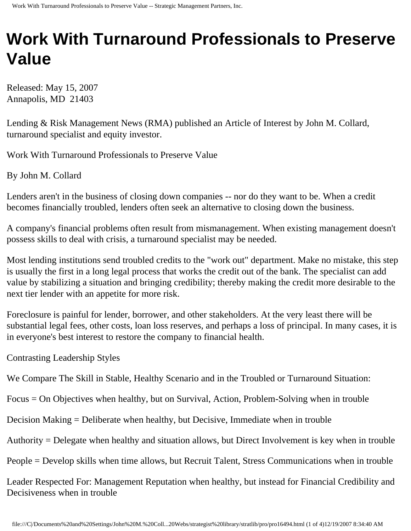# **Work With Turnaround Professionals to Preserve Value**

Released: May 15, 2007 Annapolis, MD 21403

Lending & Risk Management News (RMA) published an Article of Interest by John M. Collard, turnaround specialist and equity investor.

Work With Turnaround Professionals to Preserve Value

By John M. Collard

Lenders aren't in the business of closing down companies -- nor do they want to be. When a credit becomes financially troubled, lenders often seek an alternative to closing down the business.

A company's financial problems often result from mismanagement. When existing management doesn't possess skills to deal with crisis, a turnaround specialist may be needed.

Most lending institutions send troubled credits to the "work out" department. Make no mistake, this step is usually the first in a long legal process that works the credit out of the bank. The specialist can add value by stabilizing a situation and bringing credibility; thereby making the credit more desirable to the next tier lender with an appetite for more risk.

Foreclosure is painful for lender, borrower, and other stakeholders. At the very least there will be substantial legal fees, other costs, loan loss reserves, and perhaps a loss of principal. In many cases, it is in everyone's best interest to restore the company to financial health.

Contrasting Leadership Styles

We Compare The Skill in Stable, Healthy Scenario and in the Troubled or Turnaround Situation:

Focus = On Objectives when healthy, but on Survival, Action, Problem-Solving when in trouble

Decision Making = Deliberate when healthy, but Decisive, Immediate when in trouble

Authority = Delegate when healthy and situation allows, but Direct Involvement is key when in trouble

People = Develop skills when time allows, but Recruit Talent, Stress Communications when in trouble

Leader Respected For: Management Reputation when healthy, but instead for Financial Credibility and Decisiveness when in trouble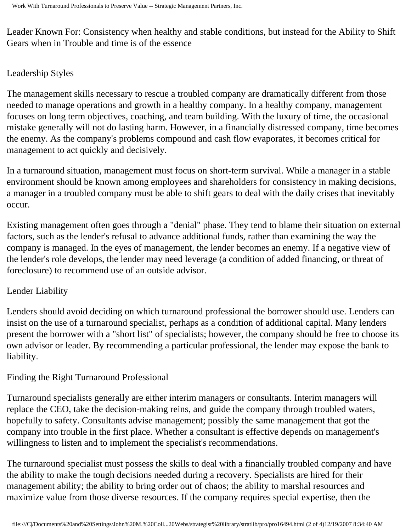Leader Known For: Consistency when healthy and stable conditions, but instead for the Ability to Shift Gears when in Trouble and time is of the essence

#### Leadership Styles

The management skills necessary to rescue a troubled company are dramatically different from those needed to manage operations and growth in a healthy company. In a healthy company, management focuses on long term objectives, coaching, and team building. With the luxury of time, the occasional mistake generally will not do lasting harm. However, in a financially distressed company, time becomes the enemy. As the company's problems compound and cash flow evaporates, it becomes critical for management to act quickly and decisively.

In a turnaround situation, management must focus on short-term survival. While a manager in a stable environment should be known among employees and shareholders for consistency in making decisions, a manager in a troubled company must be able to shift gears to deal with the daily crises that inevitably occur.

Existing management often goes through a "denial" phase. They tend to blame their situation on external factors, such as the lender's refusal to advance additional funds, rather than examining the way the company is managed. In the eyes of management, the lender becomes an enemy. If a negative view of the lender's role develops, the lender may need leverage (a condition of added financing, or threat of foreclosure) to recommend use of an outside advisor.

### Lender Liability

Lenders should avoid deciding on which turnaround professional the borrower should use. Lenders can insist on the use of a turnaround specialist, perhaps as a condition of additional capital. Many lenders present the borrower with a "short list" of specialists; however, the company should be free to choose its own advisor or leader. By recommending a particular professional, the lender may expose the bank to liability.

### Finding the Right Turnaround Professional

Turnaround specialists generally are either interim managers or consultants. Interim managers will replace the CEO, take the decision-making reins, and guide the company through troubled waters, hopefully to safety. Consultants advise management; possibly the same management that got the company into trouble in the first place. Whether a consultant is effective depends on management's willingness to listen and to implement the specialist's recommendations.

The turnaround specialist must possess the skills to deal with a financially troubled company and have the ability to make the tough decisions needed during a recovery. Specialists are hired for their management ability; the ability to bring order out of chaos; the ability to marshal resources and maximize value from those diverse resources. If the company requires special expertise, then the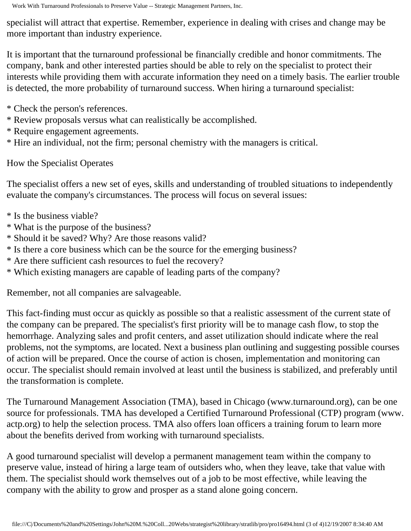specialist will attract that expertise. Remember, experience in dealing with crises and change may be more important than industry experience.

It is important that the turnaround professional be financially credible and honor commitments. The company, bank and other interested parties should be able to rely on the specialist to protect their interests while providing them with accurate information they need on a timely basis. The earlier trouble is detected, the more probability of turnaround success. When hiring a turnaround specialist:

- \* Check the person's references.
- \* Review proposals versus what can realistically be accomplished.
- \* Require engagement agreements.
- \* Hire an individual, not the firm; personal chemistry with the managers is critical.

## How the Specialist Operates

The specialist offers a new set of eyes, skills and understanding of troubled situations to independently evaluate the company's circumstances. The process will focus on several issues:

- \* Is the business viable?
- \* What is the purpose of the business?
- \* Should it be saved? Why? Are those reasons valid?
- \* Is there a core business which can be the source for the emerging business?
- \* Are there sufficient cash resources to fuel the recovery?
- \* Which existing managers are capable of leading parts of the company?

Remember, not all companies are salvageable.

This fact-finding must occur as quickly as possible so that a realistic assessment of the current state of the company can be prepared. The specialist's first priority will be to manage cash flow, to stop the hemorrhage. Analyzing sales and profit centers, and asset utilization should indicate where the real problems, not the symptoms, are located. Next a business plan outlining and suggesting possible courses of action will be prepared. Once the course of action is chosen, implementation and monitoring can occur. The specialist should remain involved at least until the business is stabilized, and preferably until the transformation is complete.

The Turnaround Management Association (TMA), based in Chicago (www.turnaround.org), can be one source for professionals. TMA has developed a Certified Turnaround Professional (CTP) program (www. actp.org) to help the selection process. TMA also offers loan officers a training forum to learn more about the benefits derived from working with turnaround specialists.

A good turnaround specialist will develop a permanent management team within the company to preserve value, instead of hiring a large team of outsiders who, when they leave, take that value with them. The specialist should work themselves out of a job to be most effective, while leaving the company with the ability to grow and prosper as a stand alone going concern.